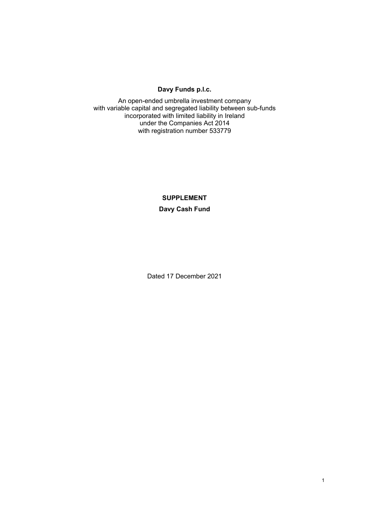# **Davy Funds p.l.c.**

An open-ended umbrella investment company with variable capital and segregated liability between sub-funds incorporated with limited liability in Ireland under the Companies Act 2014 with registration number 533779

# **SUPPLEMENT Davy Cash Fund**

Dated 17 December 2021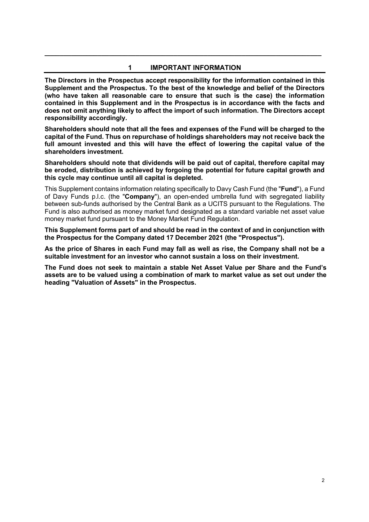### **1 IMPORTANT INFORMATION**

**\_\_\_\_\_\_\_\_\_\_\_\_\_\_\_\_\_\_\_\_\_\_\_\_\_\_\_\_\_\_\_\_\_\_\_\_\_\_\_\_\_\_\_\_\_\_\_\_\_\_\_\_\_\_\_\_\_\_\_\_\_\_\_\_\_\_\_\_\_\_\_\_\_** 

**The Directors in the Prospectus accept responsibility for the information contained in this Supplement and the Prospectus. To the best of the knowledge and belief of the Directors (who have taken all reasonable care to ensure that such is the case) the information contained in this Supplement and in the Prospectus is in accordance with the facts and does not omit anything likely to affect the import of such information. The Directors accept responsibility accordingly.** 

**Shareholders should note that all the fees and expenses of the Fund will be charged to the capital of the Fund. Thus on repurchase of holdings shareholders may not receive back the full amount invested and this will have the effect of lowering the capital value of the shareholders investment.** 

**Shareholders should note that dividends will be paid out of capital, therefore capital may be eroded, distribution is achieved by forgoing the potential for future capital growth and this cycle may continue until all capital is depleted.** 

This Supplement contains information relating specifically to Davy Cash Fund (the "**Fund**"), a Fund of Davy Funds p.l.c. (the "**Company**"), an open-ended umbrella fund with segregated liability between sub-funds authorised by the Central Bank as a UCITS pursuant to the Regulations. The Fund is also authorised as money market fund designated as a standard variable net asset value money market fund pursuant to the Money Market Fund Regulation.

**This Supplement forms part of and should be read in the context of and in conjunction with the Prospectus for the Company dated 17 December 2021 (the "Prospectus").** 

**As the price of Shares in each Fund may fall as well as rise, the Company shall not be a suitable investment for an investor who cannot sustain a loss on their investment.** 

**The Fund does not seek to maintain a stable Net Asset Value per Share and the Fund's assets are to be valued using a combination of mark to market value as set out under the heading "Valuation of Assets" in the Prospectus.**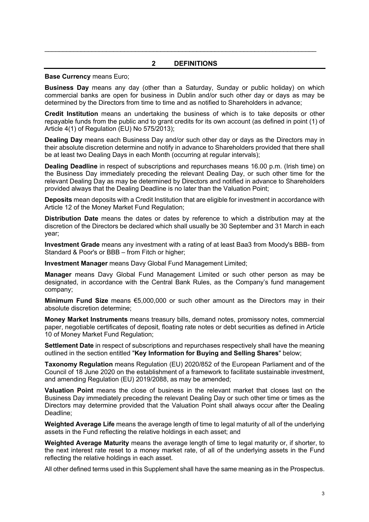#### **2 DEFINITIONS**

 $\mathcal{L}_\mathcal{L} = \mathcal{L}_\mathcal{L} = \mathcal{L}_\mathcal{L} = \mathcal{L}_\mathcal{L} = \mathcal{L}_\mathcal{L} = \mathcal{L}_\mathcal{L} = \mathcal{L}_\mathcal{L} = \mathcal{L}_\mathcal{L} = \mathcal{L}_\mathcal{L} = \mathcal{L}_\mathcal{L} = \mathcal{L}_\mathcal{L} = \mathcal{L}_\mathcal{L} = \mathcal{L}_\mathcal{L} = \mathcal{L}_\mathcal{L} = \mathcal{L}_\mathcal{L} = \mathcal{L}_\mathcal{L} = \mathcal{L}_\mathcal{L}$ 

#### **Base Currency** means Euro;

**Business Day** means any day (other than a Saturday, Sunday or public holiday) on which commercial banks are open for business in Dublin and/or such other day or days as may be determined by the Directors from time to time and as notified to Shareholders in advance;

**Credit Institution** means an undertaking the business of which is to take deposits or other repayable funds from the public and to grant credits for its own account (as defined in point (1) of Article 4(1) of Regulation (EU) No 575/2013);

**Dealing Day** means each Business Day and/or such other day or days as the Directors may in their absolute discretion determine and notify in advance to Shareholders provided that there shall be at least two Dealing Days in each Month (occurring at regular intervals);

**Dealing Deadline** in respect of subscriptions and repurchases means 16.00 p.m. (Irish time) on the Business Day immediately preceding the relevant Dealing Day, or such other time for the relevant Dealing Day as may be determined by Directors and notified in advance to Shareholders provided always that the Dealing Deadline is no later than the Valuation Point;

**Deposits** mean deposits with a Credit Institution that are eligible for investment in accordance with Article 12 of the Money Market Fund Regulation;

**Distribution Date** means the dates or dates by reference to which a distribution may at the discretion of the Directors be declared which shall usually be 30 September and 31 March in each year;

**Investment Grade** means any investment with a rating of at least Baa3 from Moody's BBB- from Standard & Poor's or BBB – from Fitch or higher;

**Investment Manager** means Davy Global Fund Management Limited;

**Manager** means Davy Global Fund Management Limited or such other person as may be designated, in accordance with the Central Bank Rules, as the Company's fund management company;

**Minimum Fund Size** means €5,000,000 or such other amount as the Directors may in their absolute discretion determine;

**Money Market Instruments** means treasury bills, demand notes, promissory notes, commercial paper, negotiable certificates of deposit, floating rate notes or debt securities as defined in Article 10 of Money Market Fund Regulation;

**Settlement Date** in respect of subscriptions and repurchases respectively shall have the meaning outlined in the section entitled "**Key Information for Buying and Selling Shares**" below;

**Taxonomy Regulation** means Regulation (EU) 2020/852 of the European Parliament and of the Council of 18 June 2020 on the establishment of a framework to facilitate sustainable investment, and amending Regulation (EU) 2019/2088, as may be amended;

**Valuation Point** means the close of business in the relevant market that closes last on the Business Day immediately preceding the relevant Dealing Day or such other time or times as the Directors may determine provided that the Valuation Point shall always occur after the Dealing Deadline;

**Weighted Average Life** means the average length of time to legal maturity of all of the underlying assets in the Fund reflecting the relative holdings in each asset; and

**Weighted Average Maturity** means the average length of time to legal maturity or, if shorter, to the next interest rate reset to a money market rate, of all of the underlying assets in the Fund reflecting the relative holdings in each asset.

All other defined terms used in this Supplement shall have the same meaning as in the Prospectus.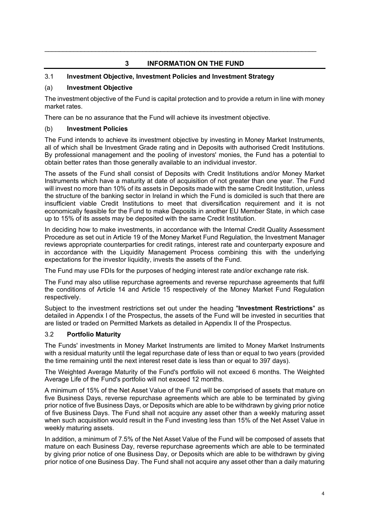# **3 INFORMATION ON THE FUND**

 $\mathcal{L}_\mathcal{L} = \mathcal{L}_\mathcal{L} = \mathcal{L}_\mathcal{L} = \mathcal{L}_\mathcal{L} = \mathcal{L}_\mathcal{L} = \mathcal{L}_\mathcal{L} = \mathcal{L}_\mathcal{L} = \mathcal{L}_\mathcal{L} = \mathcal{L}_\mathcal{L} = \mathcal{L}_\mathcal{L} = \mathcal{L}_\mathcal{L} = \mathcal{L}_\mathcal{L} = \mathcal{L}_\mathcal{L} = \mathcal{L}_\mathcal{L} = \mathcal{L}_\mathcal{L} = \mathcal{L}_\mathcal{L} = \mathcal{L}_\mathcal{L}$ 

# 3.1 **Investment Objective, Investment Policies and Investment Strategy**

# (a) **Investment Objective**

The investment objective of the Fund is capital protection and to provide a return in line with money market rates.

There can be no assurance that the Fund will achieve its investment objective.

### (b) **Investment Policies**

The Fund intends to achieve its investment objective by investing in Money Market Instruments, all of which shall be Investment Grade rating and in Deposits with authorised Credit Institutions. By professional management and the pooling of investors' monies, the Fund has a potential to obtain better rates than those generally available to an individual investor.

The assets of the Fund shall consist of Deposits with Credit Institutions and/or Money Market Instruments which have a maturity at date of acquisition of not greater than one year. The Fund will invest no more than 10% of its assets in Deposits made with the same Credit Institution, unless the structure of the banking sector in Ireland in which the Fund is domiciled is such that there are insufficient viable Credit Institutions to meet that diversification requirement and it is not economically feasible for the Fund to make Deposits in another EU Member State, in which case up to 15% of its assets may be deposited with the same Credit Institution.

In deciding how to make investments, in accordance with the Internal Credit Quality Assessment Procedure as set out in Article 19 of the Money Market Fund Regulation, the Investment Manager reviews appropriate counterparties for credit ratings, interest rate and counterparty exposure and in accordance with the Liquidity Management Process combining this with the underlying expectations for the investor liquidity, invests the assets of the Fund.

The Fund may use FDIs for the purposes of hedging interest rate and/or exchange rate risk.

The Fund may also utilise repurchase agreements and reverse repurchase agreements that fulfil the conditions of Article 14 and Article 15 respectively of the Money Market Fund Regulation respectively.

Subject to the investment restrictions set out under the heading "**Investment Restrictions**" as detailed in Appendix I of the Prospectus, the assets of the Fund will be invested in securities that are listed or traded on Permitted Markets as detailed in Appendix II of the Prospectus.

# 3.2 **Portfolio Maturity**

The Funds' investments in Money Market Instruments are limited to Money Market Instruments with a residual maturity until the legal repurchase date of less than or equal to two years (provided the time remaining until the next interest reset date is less than or equal to 397 days).

The Weighted Average Maturity of the Fund's portfolio will not exceed 6 months. The Weighted Average Life of the Fund's portfolio will not exceed 12 months.

A minimum of 15% of the Net Asset Value of the Fund will be comprised of assets that mature on five Business Days, reverse repurchase agreements which are able to be terminated by giving prior notice of five Business Days, or Deposits which are able to be withdrawn by giving prior notice of five Business Days. The Fund shall not acquire any asset other than a weekly maturing asset when such acquisition would result in the Fund investing less than 15% of the Net Asset Value in weekly maturing assets.

In addition, a minimum of 7.5% of the Net Asset Value of the Fund will be composed of assets that mature on each Business Day, reverse repurchase agreements which are able to be terminated by giving prior notice of one Business Day, or Deposits which are able to be withdrawn by giving prior notice of one Business Day. The Fund shall not acquire any asset other than a daily maturing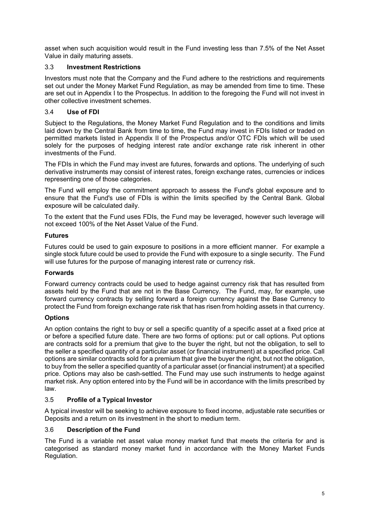asset when such acquisition would result in the Fund investing less than 7.5% of the Net Asset Value in daily maturing assets.

# 3.3 **Investment Restrictions**

Investors must note that the Company and the Fund adhere to the restrictions and requirements set out under the Money Market Fund Regulation, as may be amended from time to time. These are set out in Appendix I to the Prospectus. In addition to the foregoing the Fund will not invest in other collective investment schemes.

# 3.4 **Use of FDI**

Subject to the Regulations, the Money Market Fund Regulation and to the conditions and limits laid down by the Central Bank from time to time, the Fund may invest in FDIs listed or traded on permitted markets listed in Appendix II of the Prospectus and/or OTC FDIs which will be used solely for the purposes of hedging interest rate and/or exchange rate risk inherent in other investments of the Fund.

The FDIs in which the Fund may invest are futures, forwards and options. The underlying of such derivative instruments may consist of interest rates, foreign exchange rates, currencies or indices representing one of those categories.

The Fund will employ the commitment approach to assess the Fund's global exposure and to ensure that the Fund's use of FDIs is within the limits specified by the Central Bank. Global exposure will be calculated daily.

To the extent that the Fund uses FDIs, the Fund may be leveraged, however such leverage will not exceed 100% of the Net Asset Value of the Fund.

# **Futures**

Futures could be used to gain exposure to positions in a more efficient manner. For example a single stock future could be used to provide the Fund with exposure to a single security. The Fund will use futures for the purpose of managing interest rate or currency risk.

# **Forwards**

Forward currency contracts could be used to hedge against currency risk that has resulted from assets held by the Fund that are not in the Base Currency. The Fund, may, for example, use forward currency contracts by selling forward a foreign currency against the Base Currency to protect the Fund from foreign exchange rate risk that has risen from holding assets in that currency.

# **Options**

An option contains the right to buy or sell a specific quantity of a specific asset at a fixed price at or before a specified future date. There are two forms of options: put or call options. Put options are contracts sold for a premium that give to the buyer the right, but not the obligation, to sell to the seller a specified quantity of a particular asset (or financial instrument) at a specified price. Call options are similar contracts sold for a premium that give the buyer the right, but not the obligation, to buy from the seller a specified quantity of a particular asset (or financial instrument) at a specified price. Options may also be cash-settled. The Fund may use such instruments to hedge against market risk. Any option entered into by the Fund will be in accordance with the limits prescribed by law.

# 3.5 **Profile of a Typical Investor**

A typical investor will be seeking to achieve exposure to fixed income, adjustable rate securities or Deposits and a return on its investment in the short to medium term.

# 3.6 **Description of the Fund**

The Fund is a variable net asset value money market fund that meets the criteria for and is categorised as standard money market fund in accordance with the Money Market Funds Regulation.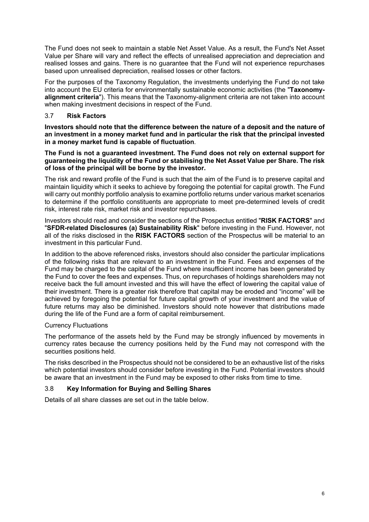The Fund does not seek to maintain a stable Net Asset Value. As a result, the Fund's Net Asset Value per Share will vary and reflect the effects of unrealised appreciation and depreciation and realised losses and gains. There is no guarantee that the Fund will not experience repurchases based upon unrealised depreciation, realised losses or other factors.

For the purposes of the Taxonomy Regulation, the investments underlying the Fund do not take into account the EU criteria for environmentally sustainable economic activities (the "**Taxonomyalignment criteria**"). This means that the Taxonomy-alignment criteria are not taken into account when making investment decisions in respect of the Fund.

# 3.7 **Risk Factors**

**Investors should note that the difference between the nature of a deposit and the nature of an investment in a money market fund and in particular the risk that the principal invested in a money market fund is capable of fluctuation**.

**The Fund is not a guaranteed investment. The Fund does not rely on external support for guaranteeing the liquidity of the Fund or stabilising the Net Asset Value per Share. The risk of loss of the principal will be borne by the investor.** 

The risk and reward profile of the Fund is such that the aim of the Fund is to preserve capital and maintain liquidity which it seeks to achieve by foregoing the potential for capital growth. The Fund will carry out monthly portfolio analysis to examine portfolio returns under various market scenarios to determine if the portfolio constituents are appropriate to meet pre-determined levels of credit risk, interest rate risk, market risk and investor repurchases.

Investors should read and consider the sections of the Prospectus entitled "**RISK FACTORS**" and "**SFDR-related Disclosures (a) Sustainability Risk**" before investing in the Fund. However, not all of the risks disclosed in the **RISK FACTORS** section of the Prospectus will be material to an investment in this particular Fund.

In addition to the above referenced risks, investors should also consider the particular implications of the following risks that are relevant to an investment in the Fund. Fees and expenses of the Fund may be charged to the capital of the Fund where insufficient income has been generated by the Fund to cover the fees and expenses. Thus, on repurchases of holdings shareholders may not receive back the full amount invested and this will have the effect of lowering the capital value of their investment. There is a greater risk therefore that capital may be eroded and "income" will be achieved by foregoing the potential for future capital growth of your investment and the value of future returns may also be diminished. Investors should note however that distributions made during the life of the Fund are a form of capital reimbursement.

#### Currency Fluctuations

The performance of the assets held by the Fund may be strongly influenced by movements in currency rates because the currency positions held by the Fund may not correspond with the securities positions held.

The risks described in the Prospectus should not be considered to be an exhaustive list of the risks which potential investors should consider before investing in the Fund. Potential investors should be aware that an investment in the Fund may be exposed to other risks from time to time.

# 3.8 **Key Information for Buying and Selling Shares**

Details of all share classes are set out in the table below.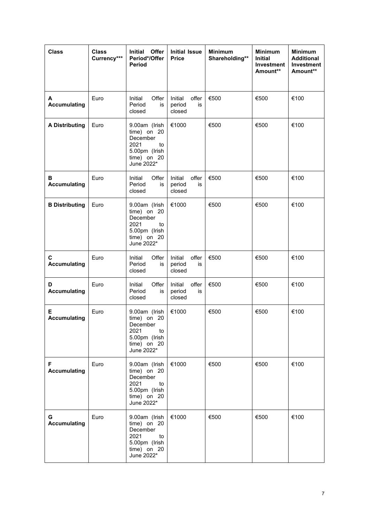| <b>Class</b>              | <b>Class</b><br>Currency*** | Offer<br>Initial<br>Period*/Offer<br><b>Period</b>                                                   | <b>Initial Issue</b><br><b>Price</b>       | <b>Minimum</b><br>Shareholding** | <b>Minimum</b><br><b>Initial</b><br>Investment<br>Amount** | <b>Minimum</b><br><b>Additional</b><br><b>Investment</b><br>Amount** |
|---------------------------|-----------------------------|------------------------------------------------------------------------------------------------------|--------------------------------------------|----------------------------------|------------------------------------------------------------|----------------------------------------------------------------------|
| A<br><b>Accumulating</b>  | Euro                        | Initial<br>Offer<br>Period<br>is<br>closed                                                           | Initial<br>offer<br>period<br>is<br>closed | €500                             | €500                                                       | €100                                                                 |
| <b>A Distributing</b>     | Euro                        | 9.00am (Irish<br>time) on 20<br>December<br>2021<br>to<br>5.00pm (Irish<br>time) on 20<br>June 2022* | €1000                                      | €500                             | €500                                                       | €100                                                                 |
| В<br><b>Accumulating</b>  | Euro                        | Initial<br>Offer<br>Period<br>is<br>closed                                                           | Initial<br>offer<br>period<br>is<br>closed | €500                             | €500                                                       | €100                                                                 |
| <b>B Distributing</b>     | Euro                        | 9.00am (Irish<br>time) on 20<br>December<br>2021<br>to<br>5.00pm (Irish<br>time) on 20<br>June 2022* | €1000                                      | €500                             | €500                                                       | €100                                                                 |
| С<br><b>Accumulating</b>  | Euro                        | Offer<br>Initial<br>Period<br>is<br>closed                                                           | offer<br>Initial<br>period<br>is<br>closed | €500                             | €500                                                       | €100                                                                 |
| D<br><b>Accumulating</b>  | Euro                        | Initial<br>Offer<br>Period<br>is<br>closed                                                           | Initial<br>offer<br>period<br>is<br>closed | €500                             | €500                                                       | €100                                                                 |
| Е<br><b>Accumulating</b>  | Euro                        | 9.00am (Irish<br>time) on 20<br>December<br>2021<br>to<br>5.00pm (Irish<br>time) on 20<br>June 2022* | €1000                                      | €500                             | €500                                                       | €100                                                                 |
| F.<br><b>Accumulating</b> | Euro                        | 9.00am (Irish<br>time) on 20<br>December<br>2021<br>to<br>5.00pm (Irish<br>time) on 20<br>June 2022* | €1000                                      | €500                             | €500                                                       | €100                                                                 |
| G.<br><b>Accumulating</b> | Euro                        | 9.00am (Irish<br>time) on 20<br>December<br>2021<br>to<br>5.00pm (Irish<br>time) on 20<br>June 2022* | €1000                                      | €500                             | €500                                                       | €100                                                                 |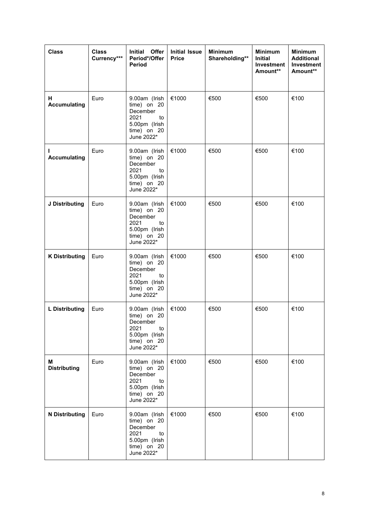| <b>Class</b>             | <b>Class</b><br>Currency*** | Initial Offer<br>Period*/Offer<br><b>Period</b>                                                      | <b>Initial Issue</b><br><b>Price</b> | <b>Minimum</b><br>Shareholding** | <b>Minimum</b><br>Initial<br>Investment<br>Amount** | <b>Minimum</b><br><b>Additional</b><br><b>Investment</b><br>Amount** |
|--------------------------|-----------------------------|------------------------------------------------------------------------------------------------------|--------------------------------------|----------------------------------|-----------------------------------------------------|----------------------------------------------------------------------|
| н<br><b>Accumulating</b> | Euro                        | 9.00am (Irish<br>time) on 20<br>December<br>2021<br>to<br>5.00pm (Irish<br>time) on 20<br>June 2022* | €1000                                | €500                             | €500                                                | €100                                                                 |
| ı<br><b>Accumulating</b> | Euro                        | 9.00am (Irish<br>time) on 20<br>December<br>2021<br>to<br>5.00pm (Irish<br>time) on 20<br>June 2022* | €1000                                | €500                             | €500                                                | €100                                                                 |
| J Distributing           | Euro                        | 9.00am (Irish<br>time) on 20<br>December<br>2021<br>to<br>5.00pm (Irish<br>time) on 20<br>June 2022* | €1000                                | €500                             | €500                                                | €100                                                                 |
| <b>K Distributing</b>    | Euro                        | 9.00am (Irish<br>time) on 20<br>December<br>2021<br>to<br>5.00pm (Irish<br>time) on 20<br>June 2022* | €1000                                | €500                             | €500                                                | €100                                                                 |
| <b>L</b> Distributing    | Euro                        | 9.00am (Irish<br>time) on 20<br>December<br>2021<br>to<br>5.00pm (Irish<br>time) on 20<br>June 2022* | €1000                                | €500                             | €500                                                | €100                                                                 |
| М<br><b>Distributing</b> | Euro                        | 9.00am (Irish<br>time) on 20<br>December<br>2021<br>to<br>5.00pm (Irish<br>time) on 20<br>June 2022* | €1000                                | €500                             | €500                                                | €100                                                                 |
| <b>N</b> Distributing    | Euro                        | 9.00am (Irish<br>time) on 20<br>December<br>2021<br>to<br>5.00pm (Irish<br>time) on 20<br>June 2022* | €1000                                | €500                             | €500                                                | €100                                                                 |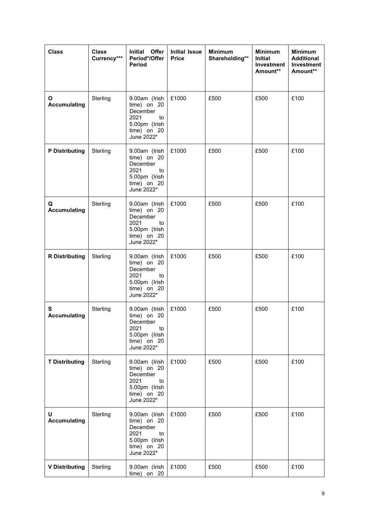| <b>Class</b>             | <b>Class</b><br>Currency*** | Initial Offer<br>Period*/Offer<br><b>Period</b>                                                      | <b>Initial Issue</b><br><b>Price</b> | <b>Minimum</b><br>Shareholding** | <b>Minimum</b><br>Initial<br>Investment<br>Amount** | <b>Minimum</b><br><b>Additional</b><br>Investment<br>Amount** |
|--------------------------|-----------------------------|------------------------------------------------------------------------------------------------------|--------------------------------------|----------------------------------|-----------------------------------------------------|---------------------------------------------------------------|
| O<br><b>Accumulating</b> | Sterling                    | 9.00am (Irish<br>time) on 20<br>December<br>2021<br>to<br>5.00pm (Irish<br>time) on 20<br>June 2022* | £1000                                | £500                             | £500                                                | £100                                                          |
| <b>P</b> Distributing    | Sterling                    | 9.00am (Irish<br>time) on 20<br>December<br>2021<br>to<br>5.00pm (Irish<br>time) on 20<br>June 2022* | £1000                                | £500                             | £500                                                | £100                                                          |
| Q<br><b>Accumulating</b> | Sterling                    | 9.00am (Irish<br>time) on 20<br>December<br>2021<br>to<br>5.00pm (Irish<br>time) on 20<br>June 2022* | £1000                                | £500                             | £500                                                | £100                                                          |
| <b>R</b> Distributing    | Sterling                    | 9.00am (Irish<br>time) on 20<br>December<br>2021<br>to<br>5.00pm (Irish<br>time) on 20<br>June 2022* | £1000                                | £500                             | £500                                                | £100                                                          |
| S<br><b>Accumulating</b> | Sterling                    | 9.00am (Irish<br>time) on 20<br>December<br>2021<br>to<br>5.00pm (Irish<br>time) on 20<br>June 2022* | £1000                                | £500                             | £500                                                | £100                                                          |
| <b>T Distributing</b>    | Sterling                    | 9.00am (Irish<br>time) on 20<br>December<br>2021<br>to<br>5.00pm (Irish<br>time) on 20<br>June 2022* | £1000                                | £500                             | £500                                                | £100                                                          |
| U<br><b>Accumulating</b> | Sterling                    | 9.00am (Irish<br>time) on 20<br>December<br>2021<br>to<br>5.00pm (Irish<br>time) on 20<br>June 2022* | £1000                                | £500                             | £500                                                | £100                                                          |
| <b>V Distributing</b>    | Sterling                    | 9.00am (Irish<br>time) on 20                                                                         | £1000                                | £500                             | £500                                                | £100                                                          |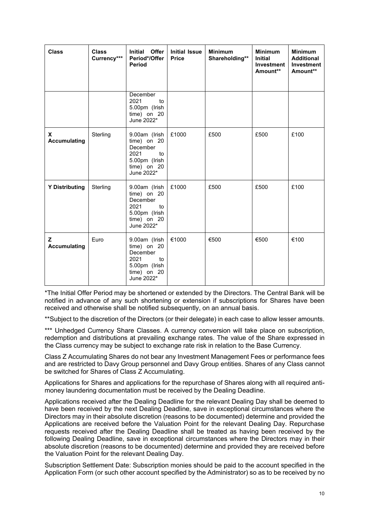| <b>Class</b>             | <b>Class</b><br>Currency*** | Offer<br>Initial<br>Period*/Offer<br><b>Period</b>                                                   | <b>Initial Issue</b><br><b>Price</b> | <b>Minimum</b><br>Shareholding** | <b>Minimum</b><br><b>Initial</b><br>Investment<br>Amount** | <b>Minimum</b><br><b>Additional</b><br><b>Investment</b><br>Amount** |
|--------------------------|-----------------------------|------------------------------------------------------------------------------------------------------|--------------------------------------|----------------------------------|------------------------------------------------------------|----------------------------------------------------------------------|
|                          |                             | December<br>2021<br>to<br>5.00pm (Irish<br>time) on 20<br>June 2022*                                 |                                      |                                  |                                                            |                                                                      |
| X<br><b>Accumulating</b> | Sterling                    | 9.00am (Irish<br>time) on 20<br>December<br>2021<br>to<br>5.00pm (Irish<br>time) on 20<br>June 2022* | £1000                                | £500                             | £500                                                       | £100                                                                 |
| <b>Y Distributing</b>    | Sterling                    | 9.00am (Irish<br>time) on 20<br>December<br>2021<br>to<br>5.00pm (Irish<br>time) on 20<br>June 2022* | £1000                                | £500                             | £500                                                       | £100                                                                 |
| z<br><b>Accumulating</b> | Euro                        | 9.00am (Irish<br>time) on 20<br>December<br>2021<br>to<br>5.00pm (Irish<br>time) on 20<br>June 2022* | €1000                                | €500                             | €500                                                       | €100                                                                 |

\*The Initial Offer Period may be shortened or extended by the Directors. The Central Bank will be notified in advance of any such shortening or extension if subscriptions for Shares have been received and otherwise shall be notified subsequently, on an annual basis.

\*\*Subject to the discretion of the Directors (or their delegate) in each case to allow lesser amounts.

\*\*\* Unhedged Currency Share Classes. A currency conversion will take place on subscription, redemption and distributions at prevailing exchange rates. The value of the Share expressed in the Class currency may be subject to exchange rate risk in relation to the Base Currency.

Class Z Accumulating Shares do not bear any Investment Management Fees or performance fees and are restricted to Davy Group personnel and Davy Group entities. Shares of any Class cannot be switched for Shares of Class Z Accumulating.

Applications for Shares and applications for the repurchase of Shares along with all required antimoney laundering documentation must be received by the Dealing Deadline.

Applications received after the Dealing Deadline for the relevant Dealing Day shall be deemed to have been received by the next Dealing Deadline, save in exceptional circumstances where the Directors may in their absolute discretion (reasons to be documented) determine and provided the Applications are received before the Valuation Point for the relevant Dealing Day. Repurchase requests received after the Dealing Deadline shall be treated as having been received by the following Dealing Deadline, save in exceptional circumstances where the Directors may in their absolute discretion (reasons to be documented) determine and provided they are received before the Valuation Point for the relevant Dealing Day.

Subscription Settlement Date: Subscription monies should be paid to the account specified in the Application Form (or such other account specified by the Administrator) so as to be received by no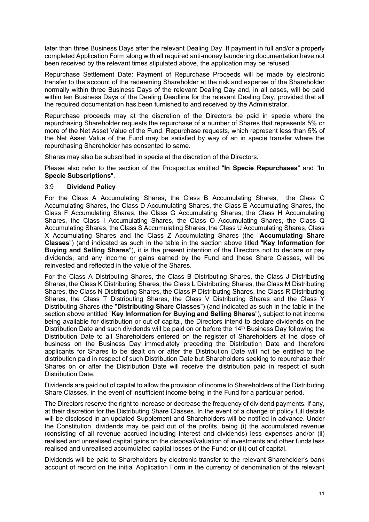later than three Business Days after the relevant Dealing Day. If payment in full and/or a properly completed Application Form along with all required anti-money laundering documentation have not been received by the relevant times stipulated above, the application may be refused.

Repurchase Settlement Date: Payment of Repurchase Proceeds will be made by electronic transfer to the account of the redeeming Shareholder at the risk and expense of the Shareholder normally within three Business Days of the relevant Dealing Day and, in all cases, will be paid within ten Business Days of the Dealing Deadline for the relevant Dealing Day, provided that all the required documentation has been furnished to and received by the Administrator.

Repurchase proceeds may at the discretion of the Directors be paid in specie where the repurchasing Shareholder requests the repurchase of a number of Shares that represents 5% or more of the Net Asset Value of the Fund. Repurchase requests, which represent less than 5% of the Net Asset Value of the Fund may be satisfied by way of an in specie transfer where the repurchasing Shareholder has consented to same.

Shares may also be subscribed in specie at the discretion of the Directors.

Please also refer to the section of the Prospectus entitled "**In Specie Repurchases**" and "**In Specie Subscriptions**".

### 3.9 **Dividend Policy**

For the Class A Accumulating Shares, the Class B Accumulating Shares, the Class C Accumulating Shares, the Class D Accumulating Shares, the Class E Accumulating Shares, the Class F Accumulating Shares, the Class G Accumulating Shares, the Class H Accumulating Shares, the Class I Accumulating Shares, the Class O Accumulating Shares, the Class Q Accumulating Shares, the Class S Accumulating Shares, the Class U Accumulating Shares, Class X Accumulating Shares and the Class Z Accumulating Shares (the "**Accumulating Share Classes**") (and indicated as such in the table in the section above titled "**Key Information for Buying and Selling Shares**"), it is the present intention of the Directors not to declare or pay dividends, and any income or gains earned by the Fund and these Share Classes, will be reinvested and reflected in the value of the Shares.

For the Class A Distributing Shares, the Class B Distributing Shares, the Class J Distributing Shares, the Class K Distributing Shares, the Class L Distributing Shares, the Class M Distributing Shares, the Class N Distributing Shares, the Class P Distributing Shares, the Class R Distributing Shares, the Class T Distributing Shares, the Class V Distributing Shares and the Class Y Distributing Shares (the "**Distributing Share Classes**") (and indicated as such in the table in the section above entitled "**Key Information for Buying and Selling Shares**"), subject to net income being available for distribution or out of capital, the Directors intend to declare dividends on the Distribution Date and such dividends will be paid on or before the 14<sup>th</sup> Business Day following the Distribution Date to all Shareholders entered on the register of Shareholders at the close of business on the Business Day immediately preceding the Distribution Date and therefore applicants for Shares to be dealt on or after the Distribution Date will not be entitled to the distribution paid in respect of such Distribution Date but Shareholders seeking to repurchase their Shares on or after the Distribution Date will receive the distribution paid in respect of such Distribution Date.

Dividends are paid out of capital to allow the provision of income to Shareholders of the Distributing Share Classes, in the event of insufficient income being in the Fund for a particular period.

The Directors reserve the right to increase or decrease the frequency of dividend payments, if any, at their discretion for the Distributing Share Classes. In the event of a change of policy full details will be disclosed in an updated Supplement and Shareholders will be notified in advance. Under the Constitution, dividends may be paid out of the profits, being (i) the accumulated revenue (consisting of all revenue accrued including interest and dividends) less expenses and/or (ii) realised and unrealised capital gains on the disposal/valuation of investments and other funds less realised and unrealised accumulated capital losses of the Fund; or (iii) out of capital.

Dividends will be paid to Shareholders by electronic transfer to the relevant Shareholder's bank account of record on the initial Application Form in the currency of denomination of the relevant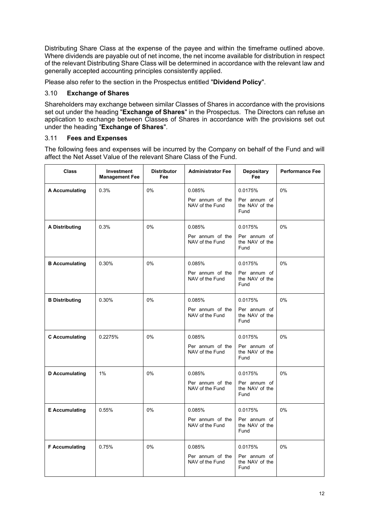Distributing Share Class at the expense of the payee and within the timeframe outlined above. Where dividends are payable out of net income, the net income available for distribution in respect of the relevant Distributing Share Class will be determined in accordance with the relevant law and generally accepted accounting principles consistently applied.

Please also refer to the section in the Prospectus entitled "**Dividend Policy**".

# 3.10 **Exchange of Shares**

Shareholders may exchange between similar Classes of Shares in accordance with the provisions set out under the heading "**Exchange of Shares**" in the Prospectus. The Directors can refuse an application to exchange between Classes of Shares in accordance with the provisions set out under the heading "**Exchange of Shares**".

# 3.11 **Fees and Expenses**

The following fees and expenses will be incurred by the Company on behalf of the Fund and will affect the Net Asset Value of the relevant Share Class of the Fund.

| <b>Class</b>          | Investment<br><b>Management Fee</b> | <b>Distributor</b><br>Fee | <b>Administrator Fee</b>                      | Depositary<br>Fee                                 | <b>Performance Fee</b> |
|-----------------------|-------------------------------------|---------------------------|-----------------------------------------------|---------------------------------------------------|------------------------|
| A Accumulating        | 0.3%                                | 0%                        | 0.085%<br>Per annum of the<br>NAV of the Fund | 0.0175%<br>Per annum of<br>the NAV of the<br>Fund | $0\%$                  |
| <b>A Distributing</b> | 0.3%                                | 0%                        | 0.085%<br>Per annum of the<br>NAV of the Fund | 0.0175%<br>Per annum of<br>the NAV of the<br>Fund | 0%                     |
| <b>B</b> Accumulating | 0.30%                               | 0%                        | 0.085%<br>Per annum of the<br>NAV of the Fund | 0.0175%<br>Per annum of<br>the NAV of the<br>Fund | 0%                     |
| <b>B</b> Distributing | 0.30%                               | 0%                        | 0.085%<br>Per annum of the<br>NAV of the Fund | 0.0175%<br>Per annum of<br>the NAV of the<br>Fund | 0%                     |
| <b>C</b> Accumulating | 0.2275%                             | 0%                        | 0.085%<br>Per annum of the<br>NAV of the Fund | 0.0175%<br>Per annum of<br>the NAV of the<br>Fund | 0%                     |
| <b>D</b> Accumulating | 1%                                  | 0%                        | 0.085%<br>Per annum of the<br>NAV of the Fund | 0.0175%<br>Per annum of<br>the NAV of the<br>Fund | 0%                     |
| <b>E</b> Accumulating | 0.55%                               | 0%                        | 0.085%<br>Per annum of the<br>NAV of the Fund | 0.0175%<br>Per annum of<br>the NAV of the<br>Fund | 0%                     |
| <b>F</b> Accumulating | 0.75%                               | 0%                        | 0.085%<br>Per annum of the<br>NAV of the Fund | 0.0175%<br>Per annum of<br>the NAV of the<br>Fund | 0%                     |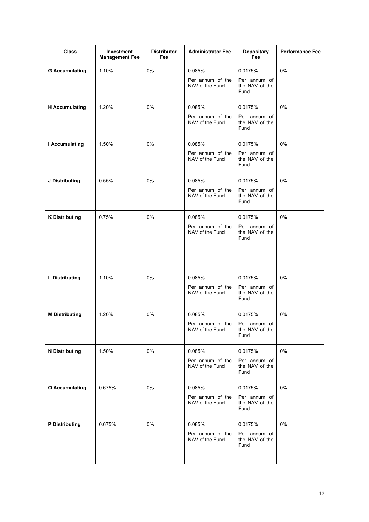| <b>Class</b>          | Investment<br><b>Management Fee</b> | <b>Distributor</b><br>Fee | <b>Administrator Fee</b>                      | Depositary<br>Fee                                 | <b>Performance Fee</b> |
|-----------------------|-------------------------------------|---------------------------|-----------------------------------------------|---------------------------------------------------|------------------------|
| <b>G Accumulating</b> | 1.10%                               | 0%                        | 0.085%<br>Per annum of the<br>NAV of the Fund | 0.0175%<br>Per annum of<br>the NAV of the<br>Fund | 0%                     |
| <b>H</b> Accumulating | 1.20%                               | 0%                        | 0.085%<br>Per annum of the<br>NAV of the Fund | 0.0175%<br>Per annum of<br>the NAV of the<br>Fund | 0%                     |
| I Accumulating        | 1.50%                               | 0%                        | 0.085%<br>Per annum of the<br>NAV of the Fund | 0.0175%<br>Per annum of<br>the NAV of the<br>Fund | 0%                     |
| J Distributing        | 0.55%                               | 0%                        | 0.085%<br>Per annum of the<br>NAV of the Fund | 0.0175%<br>Per annum of<br>the NAV of the<br>Fund | 0%                     |
| <b>K Distributing</b> | 0.75%                               | 0%                        | 0.085%<br>Per annum of the<br>NAV of the Fund | 0.0175%<br>Per annum of<br>the NAV of the<br>Fund | 0%                     |
| <b>L</b> Distributing | 1.10%                               | 0%                        | 0.085%<br>Per annum of the<br>NAV of the Fund | 0.0175%<br>Per annum of<br>the NAV of the<br>Fund | 0%                     |
| <b>M Distributing</b> | 1.20%                               | 0%                        | 0.085%<br>Per annum of the<br>NAV of the Fund | 0.0175%<br>Per annum of<br>the NAV of the<br>Fund | 0%                     |
| <b>N</b> Distributing | 1.50%                               | $0\%$                     | 0.085%<br>Per annum of the<br>NAV of the Fund | 0.0175%<br>Per annum of<br>the NAV of the<br>Fund | 0%                     |
| <b>O</b> Accumulating | 0.675%                              | 0%                        | 0.085%<br>Per annum of the<br>NAV of the Fund | 0.0175%<br>Per annum of<br>the NAV of the<br>Fund | $0\%$                  |
| <b>P</b> Distributing | 0.675%                              | 0%                        | 0.085%<br>Per annum of the<br>NAV of the Fund | 0.0175%<br>Per annum of<br>the NAV of the<br>Fund | $0\%$                  |
|                       |                                     |                           |                                               |                                                   |                        |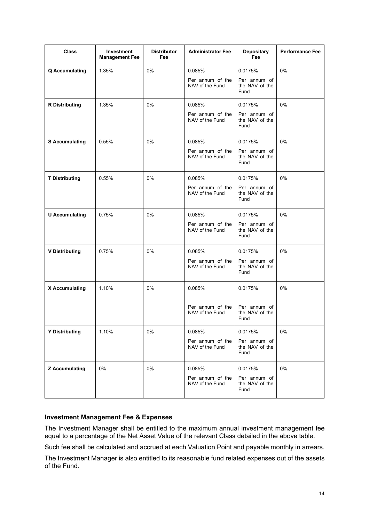| <b>Class</b>          | <b>Investment</b><br><b>Management Fee</b> | <b>Distributor</b><br>Fee | <b>Administrator Fee</b>            | Depositary<br>Fee                      | <b>Performance Fee</b> |
|-----------------------|--------------------------------------------|---------------------------|-------------------------------------|----------------------------------------|------------------------|
| <b>Q</b> Accumulating | 1.35%                                      | 0%                        | 0.085%                              | 0.0175%                                | $0\%$                  |
|                       |                                            |                           | Per annum of the<br>NAV of the Fund | Per annum of<br>the NAV of the<br>Fund |                        |
| <b>R</b> Distributing | 1.35%                                      | 0%                        | 0.085%                              | 0.0175%                                | 0%                     |
|                       |                                            |                           | Per annum of the<br>NAV of the Fund | Per annum of<br>the NAV of the<br>Fund |                        |
| <b>S Accumulating</b> | 0.55%                                      | 0%                        | 0.085%                              | 0.0175%                                | 0%                     |
|                       |                                            |                           | Per annum of the<br>NAV of the Fund | Per annum of<br>the NAV of the<br>Fund |                        |
| <b>T Distributing</b> | 0.55%                                      | 0%                        | 0.085%                              | 0.0175%                                | 0%                     |
|                       |                                            |                           | Per annum of the<br>NAV of the Fund | Per annum of<br>the NAV of the<br>Fund |                        |
| <b>U</b> Accumulating | 0.75%                                      | 0%                        | 0.085%                              | 0.0175%                                | $0\%$                  |
|                       |                                            |                           | Per annum of the<br>NAV of the Fund | Per annum of<br>the NAV of the<br>Fund |                        |
| <b>V Distributing</b> | 0.75%                                      | 0%                        | 0.085%                              | 0.0175%                                | 0%                     |
|                       |                                            |                           | Per annum of the<br>NAV of the Fund | Per annum of<br>the NAV of the<br>Fund |                        |
| X Accumulating        | 1.10%                                      | 0%                        | 0.085%                              | 0.0175%                                | $0\%$                  |
|                       |                                            |                           | Per annum of the<br>NAV of the Fund | Per annum of<br>the NAV of the<br>Fund |                        |
| <b>Y Distributing</b> | 1.10%                                      | $0\%$                     | 0.085%                              | 0.0175%                                | 0%                     |
|                       |                                            |                           | Per annum of the<br>NAV of the Fund | Per annum of<br>the NAV of the<br>Fund |                        |
| <b>Z</b> Accumulating | $0\%$                                      | 0%                        | 0.085%                              | 0.0175%                                | 0%                     |
|                       |                                            |                           | Per annum of the<br>NAV of the Fund | Per annum of<br>the NAV of the<br>Fund |                        |

# **Investment Management Fee & Expenses**

The Investment Manager shall be entitled to the maximum annual investment management fee equal to a percentage of the Net Asset Value of the relevant Class detailed in the above table.

Such fee shall be calculated and accrued at each Valuation Point and payable monthly in arrears.

The Investment Manager is also entitled to its reasonable fund related expenses out of the assets of the Fund.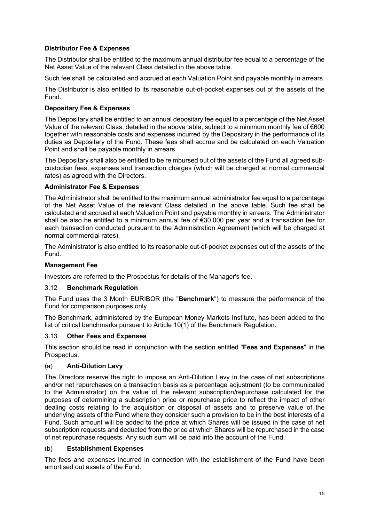# **Distributor Fee & Expenses**

The Distributor shall be entitled to the maximum annual distributor fee equal to a percentage of the Net Asset Value of the relevant Class detailed in the above table.

Such fee shall be calculated and accrued at each Valuation Point and payable monthly in arrears.

The Distributor is also entitled to its reasonable out-of-pocket expenses out of the assets of the Fund.

#### **Depositary Fee & Expenses**

The Depositary shall be entitled to an annual depositary fee equal to a percentage of the Net Asset Value of the relevant Class, detailed in the above table, subject to a minimum monthly fee of  $\epsilon$ 600 together with reasonable costs and expenses incurred by the Depositary in the performance of its duties as Depositary of the Fund. These fees shall accrue and be calculated on each Valuation Point and shall be payable monthly in arrears.

The Depositary shall also be entitled to be reimbursed out of the assets of the Fund all agreed subcustodian fees, expenses and transaction charges (which will be charged at normal commercial rates) as agreed with the Directors.

### **Administrator Fee & Expenses**

The Administrator shall be entitled to the maximum annual administrator fee equal to a percentage of the Net Asset Value of the relevant Class detailed in the above table. Such fee shall be calculated and accrued at each Valuation Point and payable monthly in arrears. The Administrator shall be also be entitled to a minimum annual fee of €30,000 per year and a transaction fee for each transaction conducted pursuant to the Administration Agreement (which will be charged at normal commercial rates).

The Administrator is also entitled to its reasonable out-of-pocket expenses out of the assets of the Fund.

# **Management Fee**

Investors are referred to the Prospectus for details of the Manager's fee.

### 3.12 **Benchmark Regulation**

The Fund uses the 3 Month EURIBOR (the "**Benchmark**") to measure the performance of the Fund for comparison purposes only.

The Benchmark, administered by the European Money Markets Institute, has been added to the list of critical benchmarks pursuant to Article 10(1) of the Benchmark Regulation.

### 3.13 **Other Fees and Expenses**

This section should be read in conjunction with the section entitled "**Fees and Expenses**" in the Prospectus.

#### (a) **Anti-Dilution Levy**

The Directors reserve the right to impose an Anti-Dilution Levy in the case of net subscriptions and/or net repurchases on a transaction basis as a percentage adjustment (to be communicated to the Administrator) on the value of the relevant subscription/repurchase calculated for the purposes of determining a subscription price or repurchase price to reflect the impact of other dealing costs relating to the acquisition or disposal of assets and to preserve value of the underlying assets of the Fund where they consider such a provision to be in the best interests of a Fund. Such amount will be added to the price at which Shares will be issued in the case of net subscription requests and deducted from the price at which Shares will be repurchased in the case of net repurchase requests. Any such sum will be paid into the account of the Fund.

#### (b) **Establishment Expenses**

The fees and expenses incurred in connection with the establishment of the Fund have been amortised out assets of the Fund.